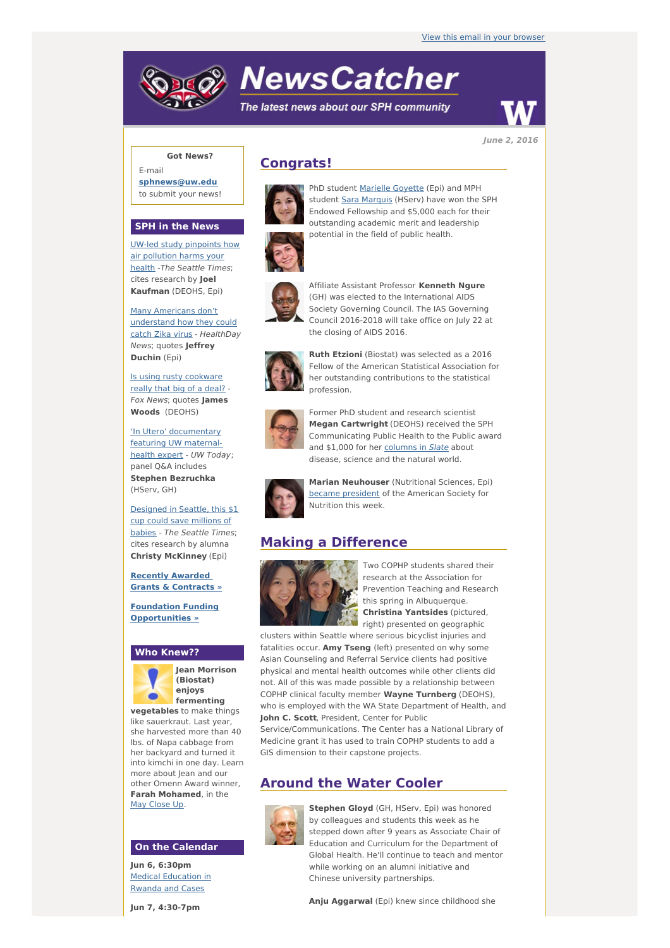# **NewsCatcher**

The latest news about our SPH community



**June 2, 2016**

## **Got News?**

E-mail **[sphnews@uw.edu](mailto:sphnews@uw.edu)** to submit your news!

#### **SPH in the News**

UW-led study [pinpoints](http://engage.washington.edu/site/R?i=srEsseYbp64ulS5Onrt50A) how air pollution harms your health -The Seattle Times; cites research by **Joel Kaufman** (DEOHS, Epi)

Many Americans don't [understand](http://engage.washington.edu/site/R?i=fRzCzBZya7ufhkMztTqtgg) how they could catch Zika virus - HealthDay News; quotes **Jeffrey Duchin** (Epi)

Is using rusty [cookware](http://engage.washington.edu/site/R?i=Xnbqgl6S-4U7RElL0WoGmw) really that big of a deal? -Fox News; quotes **James Woods** (DEOHS)

'In Utero' [documentary](http://engage.washington.edu/site/R?i=5a6xHD1P8AbQMW4-FDS2BQ) featuring UW maternalhealth expert - UW Today; panel Q&A includes **Stephen Bezruchka** (HServ, GH)

[Designed](http://engage.washington.edu/site/R?i=xGp8Vt0vJy4LD4CQ5CSWVw) in Seattle, this \$1 cup could save millions of babies - The Seattle Times; cites research by alumna **Christy McKinney** (Epi)

**Recently Awarded Grants & [Contracts](http://engage.washington.edu/site/R?i=NlwQPgdIOyNw5iBz8k-_kg) »**

**Foundation Funding [Opportunities](http://engage.washington.edu/site/R?i=0zjRjn2BVK7VqtxU1hrKjQ) »**

#### **Who Knew??**



**Jean Morrison (Biostat) enjoys fermenting**

**vegetables** to make things like sauerkraut. Last year, she harvested more than 40 lbs. of Napa cabbage from her backyard and turned it into kimchi in one day. Learn more about Jean and our other Omenn Award winner, **Farah Mohamed**, in the May [Close](http://engage.washington.edu/site/R?i=6s82Pi3udDgOjpZWJtci1g) Up.

#### **On the Calendar**

**Jun 6, 6:30pm** Medical [Education](http://engage.washington.edu/site/R?i=4EPMEu_Ig_BnNNx7FhXWIg) in Rwanda and Cases

**Jun 7, 4:30-7pm**

# **Congrats!**



PhD student [Marielle](http://engage.washington.edu/site/R?i=rqDIXJqYkdXh6NxqmoCA0Q) Goyette (Epi) and MPH student Sara [Marquis](http://engage.washington.edu/site/R?i=Kj16z5K0H1wOySYiM_1fLA) (HServ) have won the SPH Endowed Fellowship and \$5,000 each for their outstanding academic merit and leadership potential in the field of public health.



Affiliate Assistant Professor **Kenneth Ngure** (GH) was elected to the International AIDS Society Governing Council. The IAS Governing Council 2016-2018 will take office on July 22 at the closing of AIDS 2016.



**Ruth Etzioni** (Biostat) was selected as a 2016 Fellow of the American Statistical Association for her outstanding contributions to the statistical profession.



Former PhD student and research scientist **Megan Cartwright** (DEOHS) received the SPH Communicating Public Health to the Public award and \$1,000 for her [columns](http://engage.washington.edu/site/R?i=qIwcKM7nG1f7WhWi8_kvDA) in Slate about disease, science and the natural world.



**Marian Neuhouser** (Nutritional Sciences, Epi) became [president](http://engage.washington.edu/site/R?i=gD0dn8amLuXsogEkxIE4Ww) of the American Society for Nutrition this week.

## **Making a Difference**



Two COPHP students shared their research at the Association for Prevention Teaching and Research this spring in Albuquerque. **Christina Yantsides** (pictured, right) presented on geographic

clusters within Seattle where serious bicyclist injuries and fatalities occur. **Amy Tseng** (left) presented on why some Asian Counseling and Referral Service clients had positive physical and mental health outcomes while other clients did not. All of this was made possible by a relationship between COPHP clinical faculty member **Wayne Turnberg** (DEOHS), who is employed with the WA State Department of Health, and **John C. Scott**, President, Center for Public

Service/Communications. The Center has a National Library of Medicine grant it has used to train COPHP students to add a GIS dimension to their capstone projects.

# **Around the Water Cooler**



**Stephen Gloyd** (GH, HServ, Epi) was honored by colleagues and students this week as he stepped down after 9 years as Associate Chair of Education and Curriculum for the Department of Global Health. He'll continue to teach and mentor while working on an alumni initiative and Chinese university partnerships.

**Anju Aggarwal** (Epi) knew since childhood she